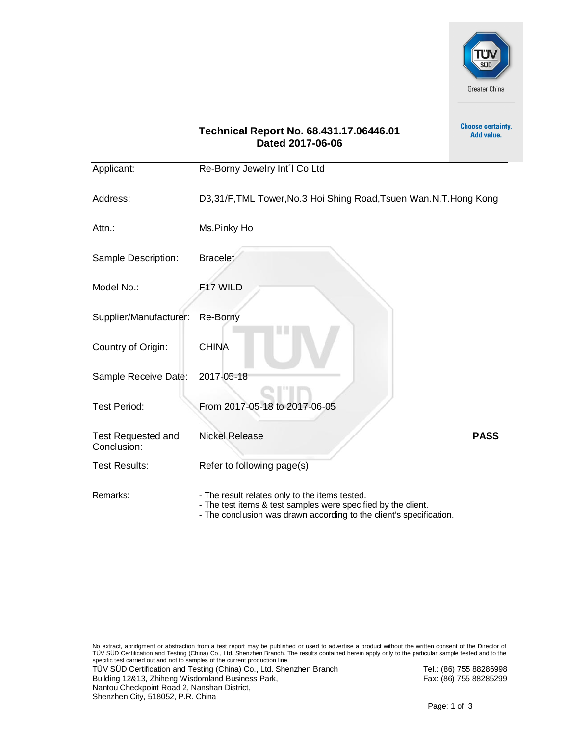

**Choose certainty.** Add value.

## **Technical Report No. 68.431.17.06446.01 Dated 2017-06-06**

| Applicant:                               | Re-Borny Jewelry Int'l Co Ltd                                                                                                                                                          |             |
|------------------------------------------|----------------------------------------------------------------------------------------------------------------------------------------------------------------------------------------|-------------|
| Address:                                 | D3,31/F, TML Tower, No.3 Hoi Shing Road, Tsuen Wan. N.T. Hong Kong                                                                                                                     |             |
| Attn.:                                   | Ms.Pinky Ho                                                                                                                                                                            |             |
| Sample Description:                      | <b>Bracelet</b>                                                                                                                                                                        |             |
| Model No.:                               | F17 WILD                                                                                                                                                                               |             |
| Supplier/Manufacturer:                   | Re-Borny                                                                                                                                                                               |             |
| Country of Origin:                       | <b>CHINA</b>                                                                                                                                                                           |             |
| Sample Receive Date:                     | 2017-05-18                                                                                                                                                                             |             |
| <b>Test Period:</b>                      | From 2017-05-18 to 2017-06-05                                                                                                                                                          |             |
| <b>Test Requested and</b><br>Conclusion: | <b>Nickel Release</b>                                                                                                                                                                  | <b>PASS</b> |
| <b>Test Results:</b>                     | Refer to following page(s)                                                                                                                                                             |             |
| Remarks:                                 | - The result relates only to the items tested.<br>- The test items & test samples were specified by the client.<br>- The conclusion was drawn according to the client's specification. |             |

No extract, abridgment or abstraction from a test report may be published or used to advertise a product without the written consent of the Director of<br>TÜV SÜD Certification and Testing (China) Co., Ltd. Shenzhen Branch. T specific test carried out and not to samples of the current production line.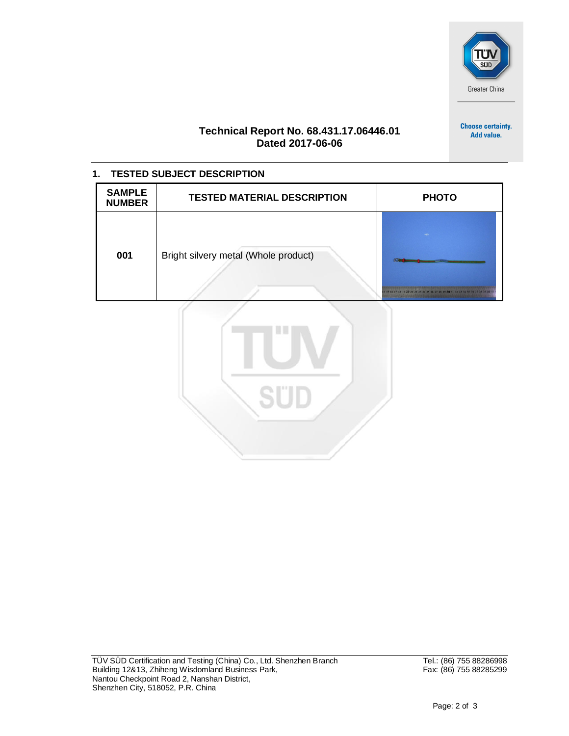

**Choose certainty.** Add value.

## **Technical Report No. 68.431.17.06446.01 Dated 2017-06-06**

| <b>TESTED SUBJECT DESCRIPTION</b><br>1. |                                      |                                                          |  |  |  |  |  |  |
|-----------------------------------------|--------------------------------------|----------------------------------------------------------|--|--|--|--|--|--|
| <b>SAMPLE</b><br><b>NUMBER</b>          | <b>TESTED MATERIAL DESCRIPTION</b>   | <b>PHOTO</b>                                             |  |  |  |  |  |  |
| 001                                     | Bright silvery metal (Whole product) | 14 15 16 17 18 19 20 21 22 23 24 25 26 27 28 29 30 31 32 |  |  |  |  |  |  |